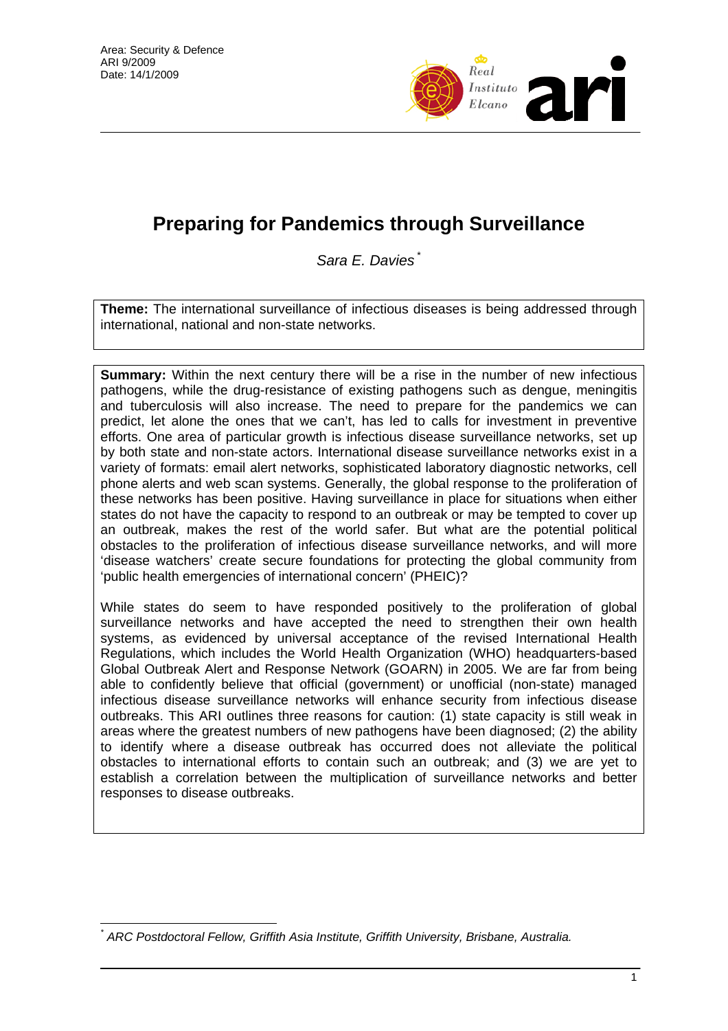

## **Preparing for Pandemics through Surveillance**

*Sara E. Davies* \*

**Theme:** The international surveillance of infectious diseases is being addressed through international, national and non-state networks.

**Summary:** Within the next century there will be a rise in the number of new infectious pathogens, while the drug-resistance of existing pathogens such as dengue, meningitis and tuberculosis will also increase. The need to prepare for the pandemics we can predict, let alone the ones that we can't, has led to calls for investment in preventive efforts. One area of particular growth is infectious disease surveillance networks, set up by both state and non-state actors. International disease surveillance networks exist in a variety of formats: email alert networks, sophisticated laboratory diagnostic networks, cell phone alerts and web scan systems. Generally, the global response to the proliferation of these networks has been positive. Having surveillance in place for situations when either states do not have the capacity to respond to an outbreak or may be tempted to cover up an outbreak, makes the rest of the world safer. But what are the potential political obstacles to the proliferation of infectious disease surveillance networks, and will more 'disease watchers' create secure foundations for protecting the global community from 'public health emergencies of international concern' (PHEIC)?

While states do seem to have responded positively to the proliferation of global surveillance networks and have accepted the need to strengthen their own health systems, as evidenced by universal acceptance of the revised International Health Regulations, which includes the World Health Organization (WHO) headquarters-based Global Outbreak Alert and Response Network (GOARN) in 2005. We are far from being able to confidently believe that official (government) or unofficial (non-state) managed infectious disease surveillance networks will enhance security from infectious disease outbreaks. This ARI outlines three reasons for caution: (1) state capacity is still weak in areas where the greatest numbers of new pathogens have been diagnosed; (2) the ability to identify where a disease outbreak has occurred does not alleviate the political obstacles to international efforts to contain such an outbreak; and (3) we are yet to establish a correlation between the multiplication of surveillance networks and better responses to disease outbreaks.

 $\overline{a}$ *\* ARC Postdoctoral Fellow, Griffith Asia Institute, Griffith University, Brisbane, Australia.*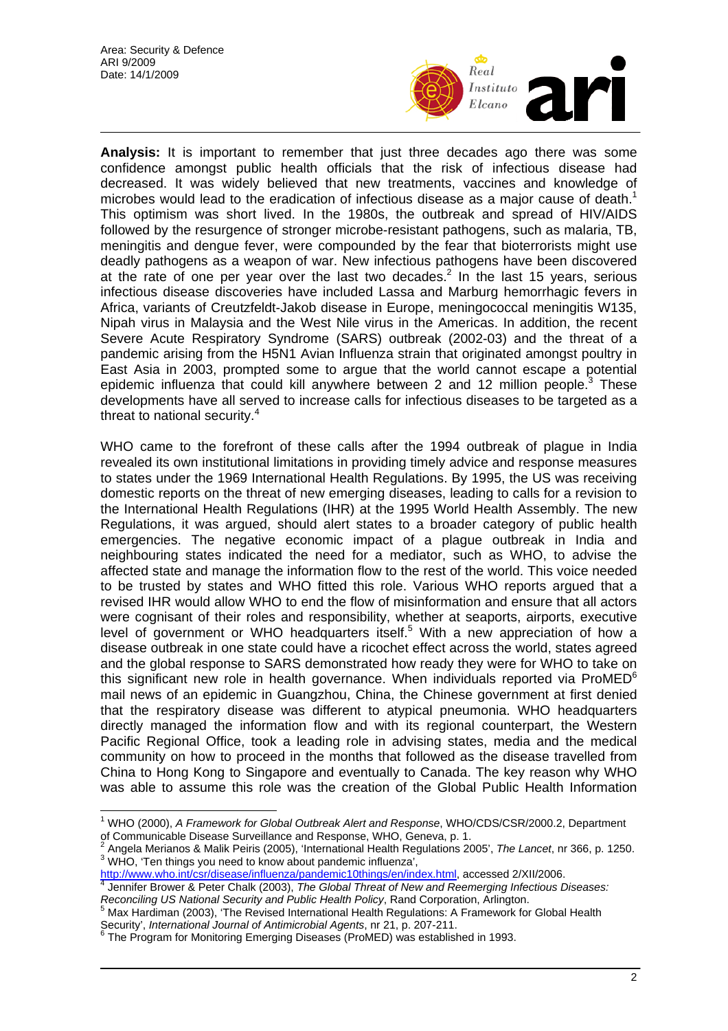

**Analysis:** It is important to remember that just three decades ago there was some confidence amongst public health officials that the risk of infectious disease had decreased. It was widely believed that new treatments, vaccines and knowledge of microbes would lead to the eradication of infectious disease as a major cause of death.<sup>1</sup> This optimism was short lived. In the 1980s, the outbreak and spread of HIV/AIDS followed by the resurgence of stronger microbe-resistant pathogens, such as malaria, TB, meningitis and dengue fever, were compounded by the fear that bioterrorists might use deadly pathogens as a weapon of war. New infectious pathogens have been discovered at the rate of one per year over the last two decades.<sup>2</sup> In the last 15 years, serious infectious disease discoveries have included Lassa and Marburg hemorrhagic fevers in Africa, variants of Creutzfeldt-Jakob disease in Europe, meningococcal meningitis W135, Nipah virus in Malaysia and the West Nile virus in the Americas. In addition, the recent Severe Acute Respiratory Syndrome (SARS) outbreak (2002-03) and the threat of a pandemic arising from the H5N1 Avian Influenza strain that originated amongst poultry in East Asia in 2003, prompted some to argue that the world cannot escape a potential epidemic influenza that could kill anywhere between 2 and 12 million people. $3$  These developments have all served to increase calls for infectious diseases to be targeted as a threat to national security.<sup>4</sup>

WHO came to the forefront of these calls after the 1994 outbreak of plague in India revealed its own institutional limitations in providing timely advice and response measures to states under the 1969 International Health Regulations. By 1995, the US was receiving domestic reports on the threat of new emerging diseases, leading to calls for a revision to the International Health Regulations (IHR) at the 1995 World Health Assembly. The new Regulations, it was argued, should alert states to a broader category of public health emergencies. The negative economic impact of a plague outbreak in India and neighbouring states indicated the need for a mediator, such as WHO, to advise the affected state and manage the information flow to the rest of the world. This voice needed to be trusted by states and WHO fitted this role. Various WHO reports argued that a revised IHR would allow WHO to end the flow of misinformation and ensure that all actors were cognisant of their roles and responsibility, whether at seaports, airports, executive level of government or WHO headquarters itself.<sup>5</sup> With a new appreciation of how a disease outbreak in one state could have a ricochet effect across the world, states agreed and the global response to SARS demonstrated how ready they were for WHO to take on this significant new role in health governance. When individuals reported via ProMED $<sup>6</sup>$ </sup> mail news of an epidemic in Guangzhou, China, the Chinese government at first denied that the respiratory disease was different to atypical pneumonia. WHO headquarters directly managed the information flow and with its regional counterpart, the Western Pacific Regional Office, took a leading role in advising states, media and the medical community on how to proceed in the months that followed as the disease travelled from China to Hong Kong to Singapore and eventually to Canada. The key reason why WHO was able to assume this role was the creation of the Global Public Health Information

 1 WHO (2000), *A Framework for Global Outbreak Alert and Response*, WHO/CDS/CSR/2000.2, Department of Communicable Disease Surveillance and Response, WHO, Geneva, p. 1.

<sup>&</sup>lt;sup>2</sup> Angela Merianos & Malik Peiris (2005), 'International Health Regulations 2005', *The Lancet*, nr 366, p. 1250.  $3$  WHO, 'Ten things you need to know about pandemic influenza',

http://www.who.int/csr/disease/influenza/pandemic10things/en/index.html, accessed 2/XII/2006.

Jennifer Brower & Peter Chalk (2003), *The Global Threat of New and Reemerging Infectious Diseases:* 

*Reconciling US National Security and Public Health Policy*, Rand Corporation, Arlington.<br><sup>5</sup> Max Hardiman (2003), 'The Revised International Health Regulations: A Framework for Global Health Security', *International Journal of Antimicrobial Agents*, nr 21, p. 207-211. 6

<sup>&</sup>lt;sup>6</sup> The Program for Monitoring Emerging Diseases (ProMED) was established in 1993.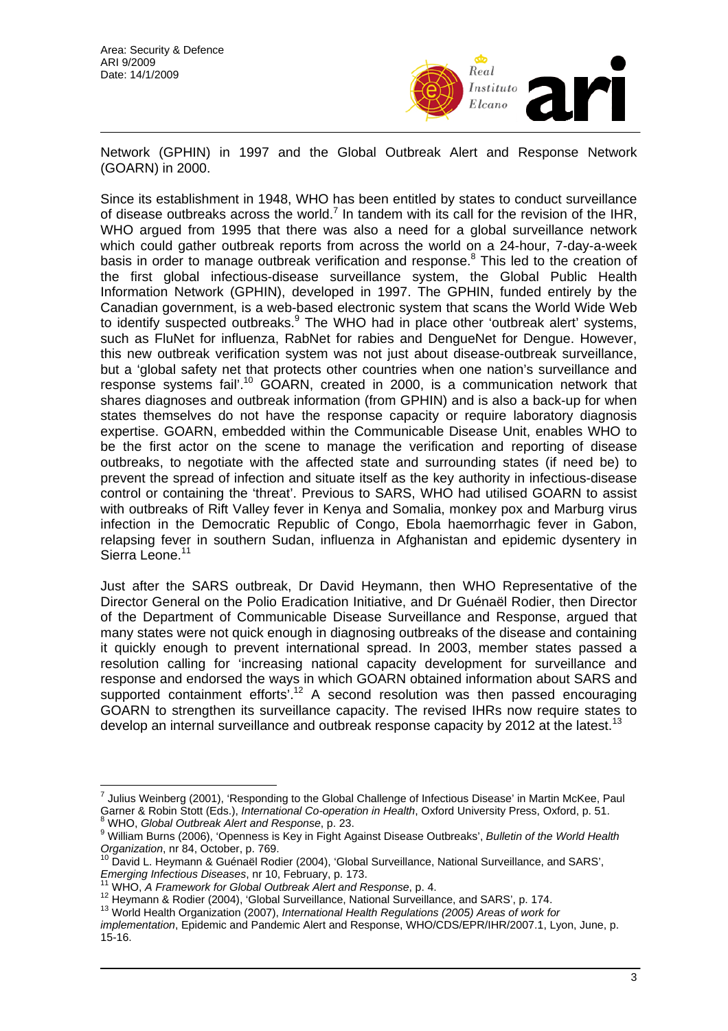

Network (GPHIN) in 1997 and the Global Outbreak Alert and Response Network (GOARN) in 2000.

Since its establishment in 1948, WHO has been entitled by states to conduct surveillance of disease outbreaks across the world.<sup>7</sup> In tandem with its call for the revision of the IHR, WHO argued from 1995 that there was also a need for a global surveillance network which could gather outbreak reports from across the world on a 24-hour, 7-day-a-week basis in order to manage outbreak verification and response.<sup>8</sup> This led to the creation of the first global infectious-disease surveillance system, the Global Public Health Information Network (GPHIN), developed in 1997. The GPHIN, funded entirely by the Canadian government, is a web-based electronic system that scans the World Wide Web to identify suspected outbreaks.<sup>9</sup> The WHO had in place other 'outbreak alert' systems, such as FluNet for influenza, RabNet for rabies and DengueNet for Dengue. However, this new outbreak verification system was not just about disease-outbreak surveillance, but a 'global safety net that protects other countries when one nation's surveillance and response systems fail'.10 GOARN, created in 2000, is a communication network that shares diagnoses and outbreak information (from GPHIN) and is also a back-up for when states themselves do not have the response capacity or require laboratory diagnosis expertise. GOARN, embedded within the Communicable Disease Unit, enables WHO to be the first actor on the scene to manage the verification and reporting of disease outbreaks, to negotiate with the affected state and surrounding states (if need be) to prevent the spread of infection and situate itself as the key authority in infectious-disease control or containing the 'threat'. Previous to SARS, WHO had utilised GOARN to assist with outbreaks of Rift Valley fever in Kenya and Somalia, monkey pox and Marburg virus infection in the Democratic Republic of Congo, Ebola haemorrhagic fever in Gabon, relapsing fever in southern Sudan, influenza in Afghanistan and epidemic dysentery in Sierra Leone.<sup>11</sup>

Just after the SARS outbreak, Dr David Heymann, then WHO Representative of the Director General on the Polio Eradication Initiative, and Dr Guénaël Rodier, then Director of the Department of Communicable Disease Surveillance and Response, argued that many states were not quick enough in diagnosing outbreaks of the disease and containing it quickly enough to prevent international spread. In 2003, member states passed a resolution calling for 'increasing national capacity development for surveillance and response and endorsed the ways in which GOARN obtained information about SARS and supported containment efforts'.12 A second resolution was then passed encouraging GOARN to strengthen its surveillance capacity. The revised IHRs now require states to develop an internal surveillance and outbreak response capacity by 2012 at the latest.<sup>13</sup>

 $\overline{a}$ 

<sup>&</sup>lt;sup>7</sup> Julius Weinberg (2001), 'Responding to the Global Challenge of Infectious Disease' in Martin McKee, Paul Garner & Robin Stott (Eds.), *International Co-operation in Health*, Oxford University Press, Oxford, p. 51.<br><sup>8</sup> MHO Clabel Quibect Al. (2001) WHO, *Global Outbreak Alert and Response*, p. 23.

William Burns (2006), 'Openness is Key in Fight Against Disease Outbreaks', *Bulletin of the World Health* 

*Organization*, nr 84, October, p. 769.<br><sup>10</sup> David L. Heymann & Guénaël Rodier (2004), 'Global Surveillance, National Surveillance, and SARS', *Emerging Infectious Diseases*, nr 10, February, p. 173.

<sup>&</sup>lt;sup>11</sup> WHO, A *Framework for Global Outbreak Alert and Response*, p. 4.<br><sup>12</sup> Heymann & Rodier (2004), 'Global Surveillance, National Surveillance, and SARS', p. 174.<br><sup>13</sup> World Health Organization (2007), *International Heal* 

*implementation*, Epidemic and Pandemic Alert and Response, WHO/CDS/EPR/IHR/2007.1, Lyon, June, p. 15-16.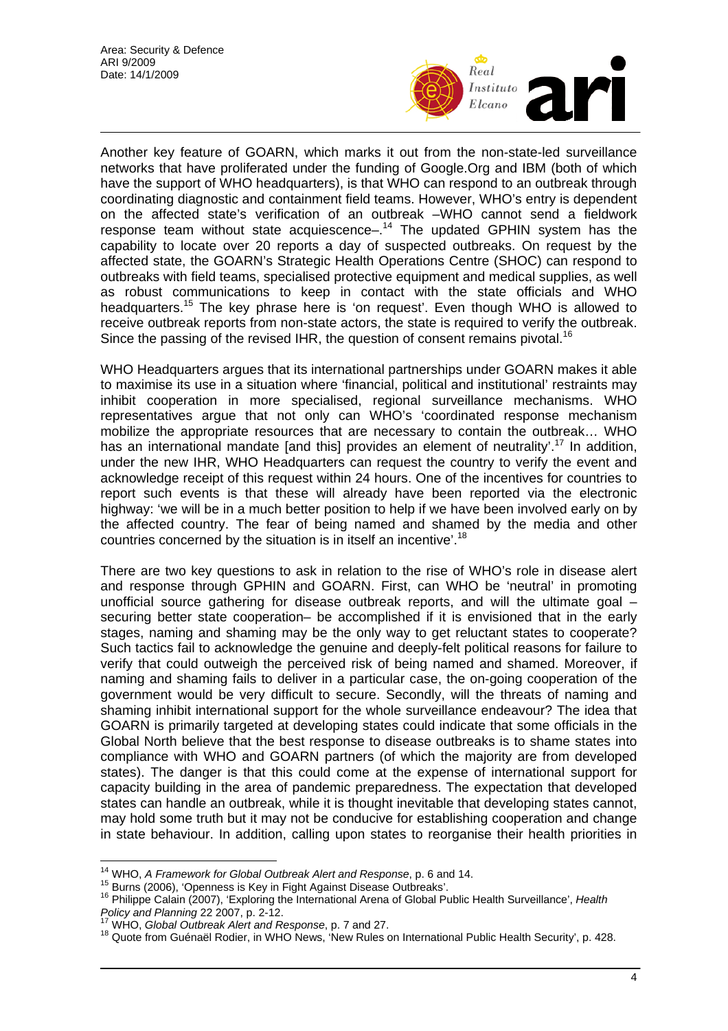

Another key feature of GOARN, which marks it out from the non-state-led surveillance networks that have proliferated under the funding of Google.Org and IBM (both of which have the support of WHO headquarters), is that WHO can respond to an outbreak through coordinating diagnostic and containment field teams. However, WHO's entry is dependent on the affected state's verification of an outbreak –WHO cannot send a fieldwork response team without state acquiescence $-1<sup>14</sup>$  The updated GPHIN system has the capability to locate over 20 reports a day of suspected outbreaks. On request by the affected state, the GOARN's Strategic Health Operations Centre (SHOC) can respond to outbreaks with field teams, specialised protective equipment and medical supplies, as well as robust communications to keep in contact with the state officials and WHO headquarters.<sup>15</sup> The key phrase here is 'on request'. Even though WHO is allowed to receive outbreak reports from non-state actors, the state is required to verify the outbreak. Since the passing of the revised IHR, the question of consent remains pivotal.<sup>16</sup>

WHO Headquarters argues that its international partnerships under GOARN makes it able to maximise its use in a situation where 'financial, political and institutional' restraints may inhibit cooperation in more specialised, regional surveillance mechanisms. WHO representatives argue that not only can WHO's 'coordinated response mechanism mobilize the appropriate resources that are necessary to contain the outbreak… WHO has an international mandate [and this] provides an element of neutrality'.<sup>17</sup> In addition, under the new IHR, WHO Headquarters can request the country to verify the event and acknowledge receipt of this request within 24 hours. One of the incentives for countries to report such events is that these will already have been reported via the electronic highway: 'we will be in a much better position to help if we have been involved early on by the affected country. The fear of being named and shamed by the media and other countries concerned by the situation is in itself an incentive'.<sup>18</sup>

There are two key questions to ask in relation to the rise of WHO's role in disease alert and response through GPHIN and GOARN. First, can WHO be 'neutral' in promoting unofficial source gathering for disease outbreak reports, and will the ultimate goal  $$ securing better state cooperation– be accomplished if it is envisioned that in the early stages, naming and shaming may be the only way to get reluctant states to cooperate? Such tactics fail to acknowledge the genuine and deeply-felt political reasons for failure to verify that could outweigh the perceived risk of being named and shamed. Moreover, if naming and shaming fails to deliver in a particular case, the on-going cooperation of the government would be very difficult to secure. Secondly, will the threats of naming and shaming inhibit international support for the whole surveillance endeavour? The idea that GOARN is primarily targeted at developing states could indicate that some officials in the Global North believe that the best response to disease outbreaks is to shame states into compliance with WHO and GOARN partners (of which the majority are from developed states). The danger is that this could come at the expense of international support for capacity building in the area of pandemic preparedness. The expectation that developed states can handle an outbreak, while it is thought inevitable that developing states cannot, may hold some truth but it may not be conducive for establishing cooperation and change in state behaviour. In addition, calling upon states to reorganise their health priorities in

<sup>&</sup>lt;sup>14</sup> WHO, A Framework for Global Outbreak Alert and Response, p. 6 and 14.

<sup>&</sup>lt;sup>15</sup> Burns (2006), 'Openness is Key in Fight Against Disease Outbreaks'.<br><sup>16</sup> Philippe Calain (2007), 'Exploring the International Arena of Global Public Health Surveillance', Health<br>*Policy and Planning* 22 2007, p. 2-12.

*Policy and Planning* 22 2007, p. 2-12.<br><sup>17</sup> WHO, *Global Outbreak Alert and Response*, p. 7 and 27.<br><sup>18</sup> Quote from Guénaël Rodier, in WHO News, 'New Rules on International Public Health Security', p. 428.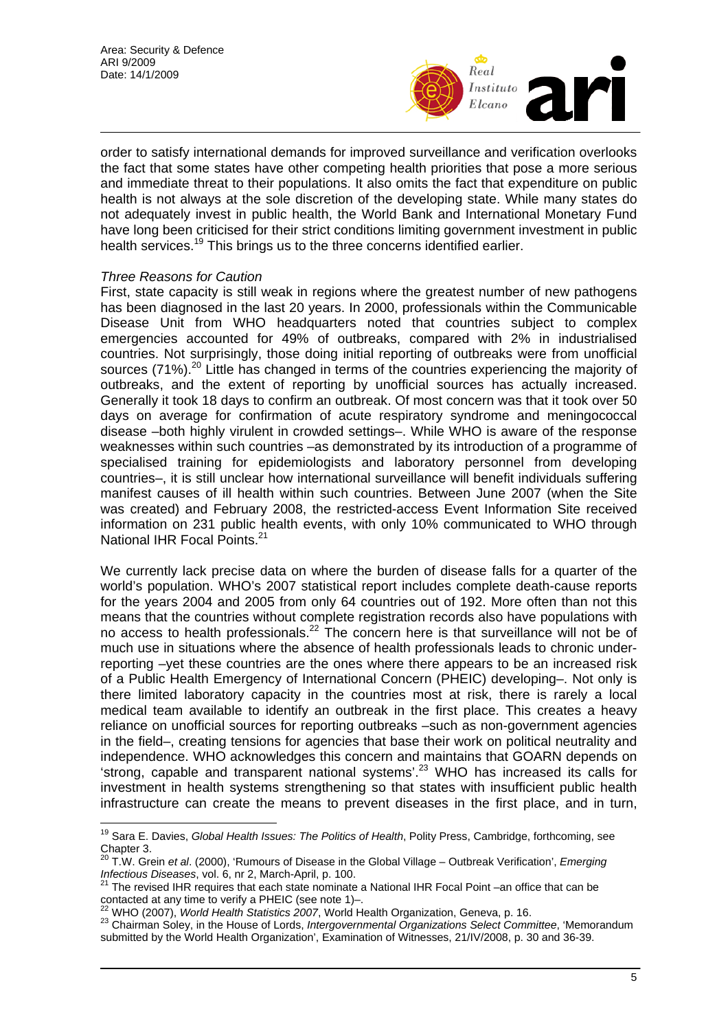

order to satisfy international demands for improved surveillance and verification overlooks the fact that some states have other competing health priorities that pose a more serious and immediate threat to their populations. It also omits the fact that expenditure on public health is not always at the sole discretion of the developing state. While many states do not adequately invest in public health, the World Bank and International Monetary Fund have long been criticised for their strict conditions limiting government investment in public health services.<sup>19</sup> This brings us to the three concerns identified earlier.

## *Three Reasons for Caution*

First, state capacity is still weak in regions where the greatest number of new pathogens has been diagnosed in the last 20 years. In 2000, professionals within the Communicable Disease Unit from WHO headquarters noted that countries subject to complex emergencies accounted for 49% of outbreaks, compared with 2% in industrialised countries. Not surprisingly, those doing initial reporting of outbreaks were from unofficial sources (71%).<sup>20</sup> Little has changed in terms of the countries experiencing the majority of outbreaks, and the extent of reporting by unofficial sources has actually increased. Generally it took 18 days to confirm an outbreak. Of most concern was that it took over 50 days on average for confirmation of acute respiratory syndrome and meningococcal disease –both highly virulent in crowded settings–. While WHO is aware of the response weaknesses within such countries –as demonstrated by its introduction of a programme of specialised training for epidemiologists and laboratory personnel from developing countries–, it is still unclear how international surveillance will benefit individuals suffering manifest causes of ill health within such countries. Between June 2007 (when the Site was created) and February 2008, the restricted-access Event Information Site received information on 231 public health events, with only 10% communicated to WHO through National IHR Focal Points.<sup>21</sup>

We currently lack precise data on where the burden of disease falls for a quarter of the world's population. WHO's 2007 statistical report includes complete death-cause reports for the years 2004 and 2005 from only 64 countries out of 192. More often than not this means that the countries without complete registration records also have populations with no access to health professionals.22 The concern here is that surveillance will not be of much use in situations where the absence of health professionals leads to chronic underreporting –yet these countries are the ones where there appears to be an increased risk of a Public Health Emergency of International Concern (PHEIC) developing–. Not only is there limited laboratory capacity in the countries most at risk, there is rarely a local medical team available to identify an outbreak in the first place. This creates a heavy reliance on unofficial sources for reporting outbreaks –such as non-government agencies in the field–, creating tensions for agencies that base their work on political neutrality and independence. WHO acknowledges this concern and maintains that GOARN depends on 'strong, capable and transparent national systems'.23 WHO has increased its calls for investment in health systems strengthening so that states with insufficient public health infrastructure can create the means to prevent diseases in the first place, and in turn,

 $\overline{1}$ 19 Sara E. Davies, *Global Health Issues: The Politics of Health*, Polity Press, Cambridge, forthcoming, see Chapter 3.<br> $^{20}$  T M Gre

<sup>&</sup>lt;sup>20</sup> T.W. Grein *et al.* (2000), 'Rumours of Disease in the Global Village – Outbreak Verification', *Emerging Infectious Diseases*, vol. 6, nr 2, March-April, p. 100.<br><sup>21</sup> The ravised U.D. a write

The revised IHR requires that each state nominate a National IHR Focal Point –an office that can be contacted at any time to verify a PHEIC (see note 1)–.<br><sup>22</sup> WHO (2007), *World Health Statistics 2007*, World Health Organization, Geneva, p. 16.<br><sup>23</sup> Chairman Solev, in the House of Lords, *Intergovernmental Organizations* 

submitted by the World Health Organization', Examination of Witnesses, 21/IV/2008, p. 30 and 36-39.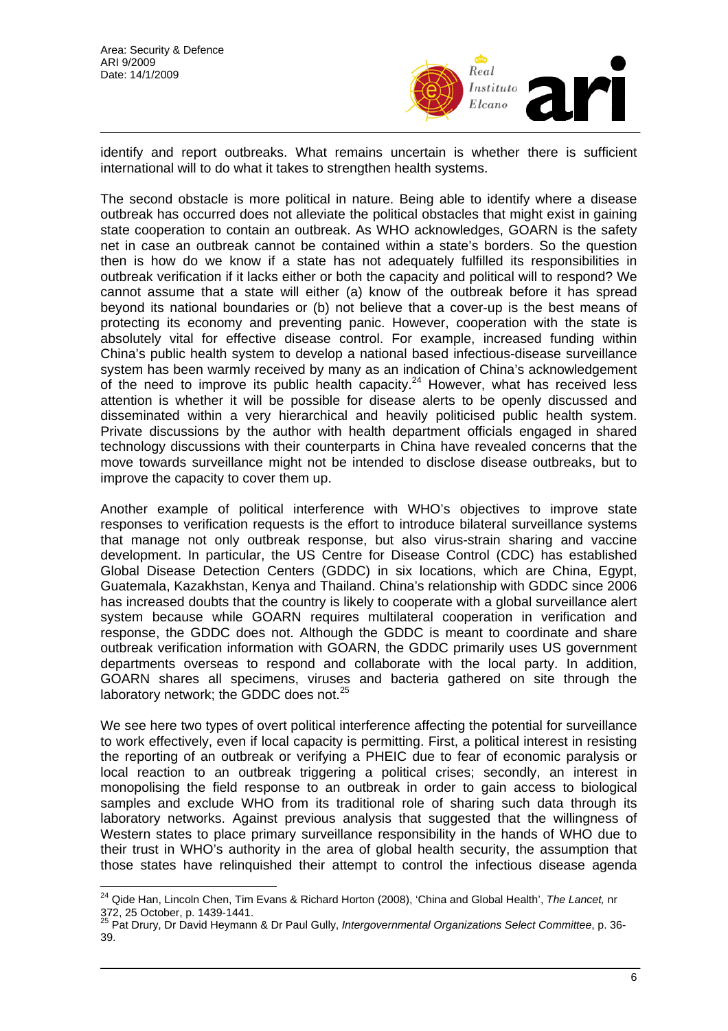

identify and report outbreaks. What remains uncertain is whether there is sufficient international will to do what it takes to strengthen health systems.

The second obstacle is more political in nature. Being able to identify where a disease outbreak has occurred does not alleviate the political obstacles that might exist in gaining state cooperation to contain an outbreak. As WHO acknowledges, GOARN is the safety net in case an outbreak cannot be contained within a state's borders. So the question then is how do we know if a state has not adequately fulfilled its responsibilities in outbreak verification if it lacks either or both the capacity and political will to respond? We cannot assume that a state will either (a) know of the outbreak before it has spread beyond its national boundaries or (b) not believe that a cover-up is the best means of protecting its economy and preventing panic. However, cooperation with the state is absolutely vital for effective disease control. For example, increased funding within China's public health system to develop a national based infectious-disease surveillance system has been warmly received by many as an indication of China's acknowledgement of the need to improve its public health capacity.<sup>24</sup> However, what has received less attention is whether it will be possible for disease alerts to be openly discussed and disseminated within a very hierarchical and heavily politicised public health system. Private discussions by the author with health department officials engaged in shared technology discussions with their counterparts in China have revealed concerns that the move towards surveillance might not be intended to disclose disease outbreaks, but to improve the capacity to cover them up.

Another example of political interference with WHO's objectives to improve state responses to verification requests is the effort to introduce bilateral surveillance systems that manage not only outbreak response, but also virus-strain sharing and vaccine development. In particular, the US Centre for Disease Control (CDC) has established Global Disease Detection Centers (GDDC) in six locations, which are China, Egypt, Guatemala, Kazakhstan, Kenya and Thailand. China's relationship with GDDC since 2006 has increased doubts that the country is likely to cooperate with a global surveillance alert system because while GOARN requires multilateral cooperation in verification and response, the GDDC does not. Although the GDDC is meant to coordinate and share outbreak verification information with GOARN, the GDDC primarily uses US government departments overseas to respond and collaborate with the local party. In addition, GOARN shares all specimens, viruses and bacteria gathered on site through the laboratory network; the GDDC does not.<sup>25</sup>

We see here two types of overt political interference affecting the potential for surveillance to work effectively, even if local capacity is permitting. First, a political interest in resisting the reporting of an outbreak or verifying a PHEIC due to fear of economic paralysis or local reaction to an outbreak triggering a political crises; secondly, an interest in monopolising the field response to an outbreak in order to gain access to biological samples and exclude WHO from its traditional role of sharing such data through its laboratory networks. Against previous analysis that suggested that the willingness of Western states to place primary surveillance responsibility in the hands of WHO due to their trust in WHO's authority in the area of global health security, the assumption that those states have relinquished their attempt to control the infectious disease agenda

 $\overline{\phantom{a}}$ 24 Qide Han, Lincoln Chen, Tim Evans & Richard Horton (2008), 'China and Global Health', *The Lancet,* nr 372, 25 October, p. 1439-1441.

<sup>25</sup> Pat Drury, Dr David Heymann & Dr Paul Gully, *Intergovernmental Organizations Select Committee*, p. 36- 39.